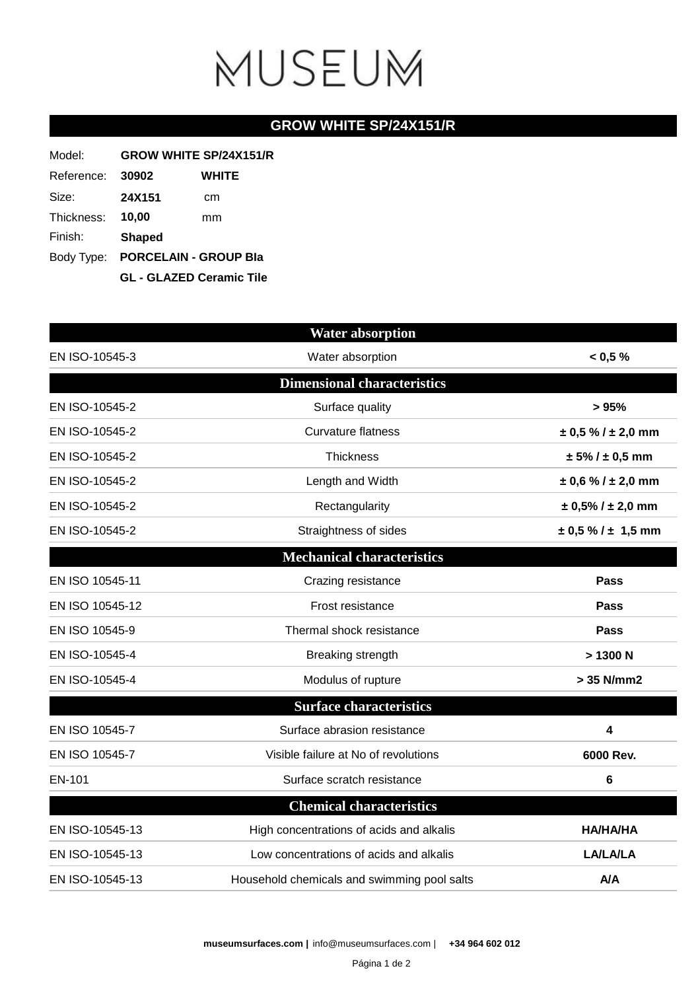## MUSEUM

## **GROW WHITE SP/24X151/R**

| Model:     | <b>GROW WHITE SP/24X151/R</b>    |       |  |
|------------|----------------------------------|-------|--|
| Reference: | 30902                            | WHITE |  |
| Size:      | <b>24X151</b>                    | cm    |  |
| Thickness: | 10,00                            | mm    |  |
| Finish:    | <b>Shaped</b>                    |       |  |
|            | Body Type: PORCELAIN - GROUP Bla |       |  |
|            | <b>GL - GLAZED Ceramic Tile</b>  |       |  |

|                 | <b>Water absorption</b>                     |                            |
|-----------------|---------------------------------------------|----------------------------|
| EN ISO-10545-3  | Water absorption                            | $< 0.5 \%$                 |
|                 | <b>Dimensional characteristics</b>          |                            |
| EN ISO-10545-2  | Surface quality                             | >95%                       |
| EN ISO-10545-2  | <b>Curvature flatness</b>                   | $\pm$ 0,5 % / $\pm$ 2,0 mm |
| EN ISO-10545-2  | <b>Thickness</b>                            | $± 5\% / ± 0.5$ mm         |
| EN ISO-10545-2  | Length and Width                            | $\pm$ 0,6 % / $\pm$ 2,0 mm |
| EN ISO-10545-2  | Rectangularity                              | $\pm$ 0,5% / $\pm$ 2,0 mm  |
| EN ISO-10545-2  | Straightness of sides                       | $\pm$ 0,5 % / $\pm$ 1,5 mm |
|                 | <b>Mechanical characteristics</b>           |                            |
| EN ISO 10545-11 | Crazing resistance                          | <b>Pass</b>                |
| EN ISO 10545-12 | Frost resistance                            | Pass                       |
| EN ISO 10545-9  | Thermal shock resistance                    | Pass                       |
| EN ISO-10545-4  | Breaking strength                           | >1300 N                    |
| EN ISO-10545-4  | Modulus of rupture                          | > 35 N/mm2                 |
|                 | <b>Surface characteristics</b>              |                            |
| EN ISO 10545-7  | Surface abrasion resistance                 | 4                          |
| EN ISO 10545-7  | Visible failure at No of revolutions        | 6000 Rev.                  |
| EN-101          | Surface scratch resistance                  | $6\phantom{1}6$            |
|                 | <b>Chemical characteristics</b>             |                            |
| EN ISO-10545-13 | High concentrations of acids and alkalis    | <b>HA/HA/HA</b>            |
| EN ISO-10545-13 | Low concentrations of acids and alkalis     | <b>LA/LA/LA</b>            |
| EN ISO-10545-13 | Household chemicals and swimming pool salts | A/A                        |